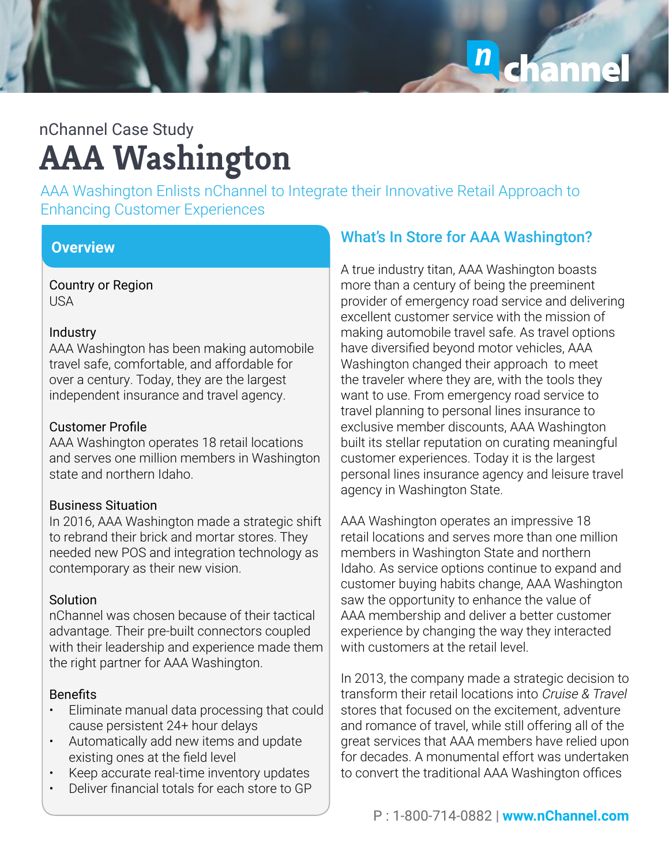chann  $\mathbf{n}$ 

## **AAA Washington** nChannel Case Study

AAA Washington Enlists nChannel to Integrate their Innovative Retail Approach to Enhancing Customer Experiences

### **Overview**

Country or Region USA

#### **Industry**

AAA Washington has been making automobile travel safe, comfortable, and affordable for over a century. Today, they are the largest independent insurance and travel agency.

#### Customer Profile

AAA Washington operates 18 retail locations and serves one million members in Washington state and northern Idaho.

#### Business Situation

In 2016, AAA Washington made a strategic shift to rebrand their brick and mortar stores. They needed new POS and integration technology as contemporary as their new vision.

#### **Solution**

nChannel was chosen because of their tactical advantage. Their pre-built connectors coupled with their leadership and experience made them the right partner for AAA Washington.

#### **Benefits**

- Eliminate manual data processing that could cause persistent 24+ hour delays
- Automatically add new items and update existing ones at the field level
- Keep accurate real-time inventory updates
- Deliver financial totals for each store to GP

### **What's In Store for AAA Washington?**

A true industry titan, AAA Washington boasts more than a century of being the preeminent provider of emergency road service and delivering excellent customer service with the mission of making automobile travel safe. As travel options have diversified beyond motor vehicles, AAA Washington changed their approach to meet the traveler where they are, with the tools they want to use. From emergency road service to travel planning to personal lines insurance to exclusive member discounts, AAA Washington built its stellar reputation on curating meaningful customer experiences. Today it is the largest personal lines insurance agency and leisure travel agency in Washington State.

AAA Washington operates an impressive 18 retail locations and serves more than one million members in Washington State and northern Idaho. As service options continue to expand and customer buying habits change, AAA Washington saw the opportunity to enhance the value of AAA membership and deliver a better customer experience by changing the way they interacted with customers at the retail level.

In 2013, the company made a strategic decision to transform their retail locations into Cruise & Travel stores that focused on the excitement, adventure and romance of travel, while still offering all of the great services that AAA members have relied upon for decades. A monumental effort was undertaken to convert the traditional AAA Washington offices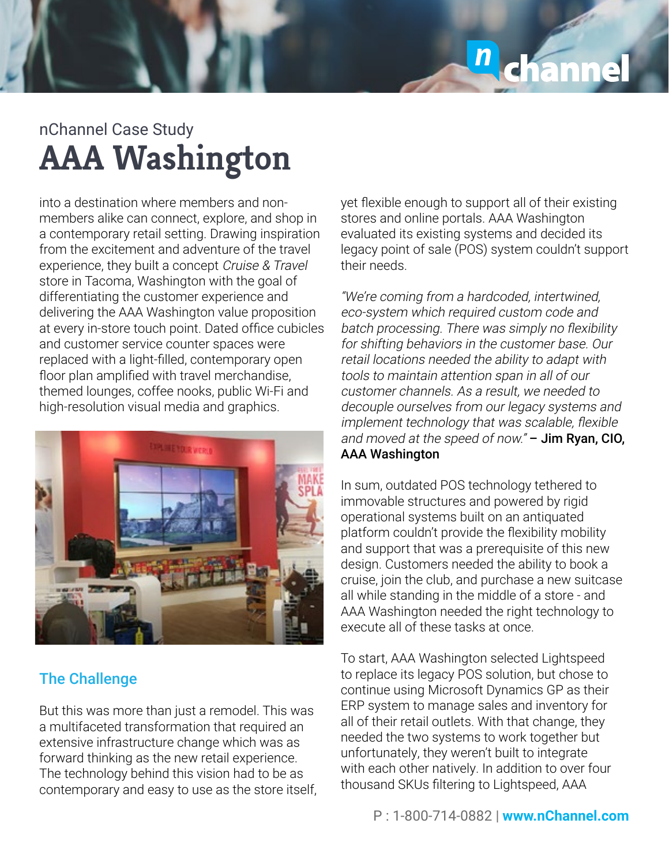

## **AAA Washington** nChannel Case Study

into a destination where members and nonmembers alike can connect, explore, and shop in a contemporary retail setting. Drawing inspiration from the excitement and adventure of the travel experience, they built a concept Cruise & Travel store in Tacoma, Washington with the goal of differentiating the customer experience and delivering the AAA Washington value proposition at every in-store touch point. Dated office cubicles and customer service counter spaces were replaced with a light-filled, contemporary open floor plan amplified with travel merchandise, themed lounges, coffee nooks, public Wi-Fi and high-resolution visual media and graphics.



### The Challenge

But this was more than just a remodel. This was a multifaceted transformation that required an extensive infrastructure change which was as forward thinking as the new retail experience. The technology behind this vision had to be as contemporary and easy to use as the store itself,

yet flexible enough to support all of their existing stores and online portals. AAA Washington evaluated its existing systems and decided its legacy point of sale (POS) system couldn't support their needs.

"We're coming from a hardcoded, intertwined, eco-system which required custom code and batch processing. There was simply no flexibility for shifting behaviors in the customer base. Our retail locations needed the ability to adapt with tools to maintain attention span in all of our customer channels. As a result, we needed to decouple ourselves from our legacy systems and implement technology that was scalable, flexible and moved at the speed of now."  $-$  Jim Ryan, CIO, AAA Washington

In sum, outdated POS technology tethered to immovable structures and powered by rigid operational systems built on an antiquated platform couldn't provide the flexibility mobility and support that was a prerequisite of this new design. Customers needed the ability to book a cruise, join the club, and purchase a new suitcase all while standing in the middle of a store - and AAA Washington needed the right technology to execute all of these tasks at once.

To start, AAA Washington selected Lightspeed to replace its legacy POS solution, but chose to continue using Microsoft Dynamics GP as their ERP system to manage sales and inventory for all of their retail outlets. With that change, they needed the two systems to work together but unfortunately, they weren't built to integrate with each other natively. In addition to over four thousand SKUs filtering to Lightspeed, AAA

P : 1-800-714-0882 | **www.nChannel.com**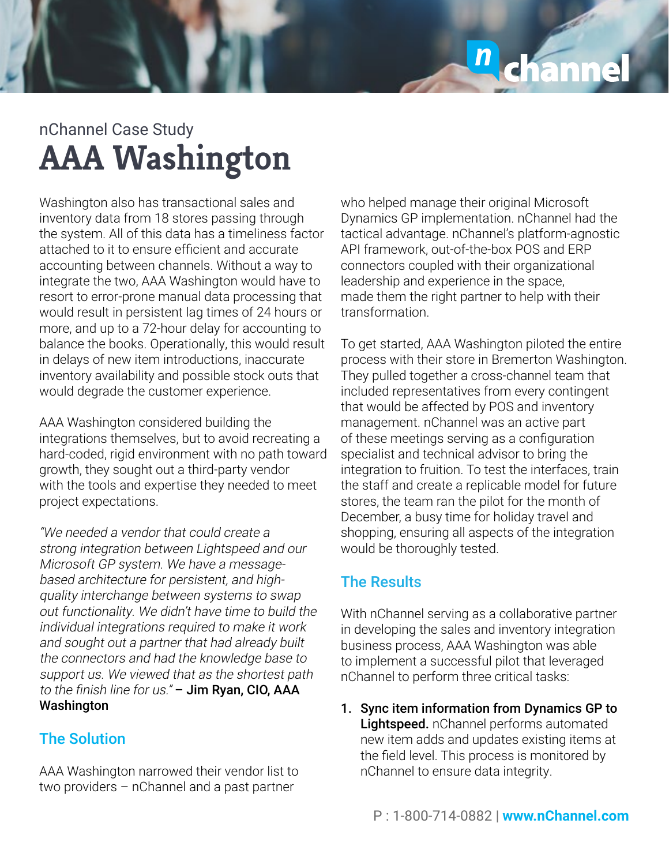# chann  $\overline{\bf n}$

## **AAA Washington** nChannel Case Study

Washington also has transactional sales and inventory data from 18 stores passing through the system. All of this data has a timeliness factor attached to it to ensure efficient and accurate accounting between channels. Without a way to integrate the two, AAA Washington would have to resort to error-prone manual data processing that would result in persistent lag times of 24 hours or more, and up to a 72-hour delay for accounting to balance the books. Operationally, this would result in delays of new item introductions, inaccurate inventory availability and possible stock outs that would degrade the customer experience.

AAA Washington considered building the integrations themselves, but to avoid recreating a hard-coded, rigid environment with no path toward growth, they sought out a third-party vendor with the tools and expertise they needed to meet project expectations.

"We needed a vendor that could create a strong integration between Lightspeed and our Microsoft GP system. We have a messagebased architecture for persistent, and highquality interchange between systems to swap out functionality. We didn't have time to build the individual integrations required to make it work and sought out a partner that had already built the connectors and had the knowledge base to support us. We viewed that as the shortest path to the finish line for us." - Jim Ryan, CIO, AAA Washington

### The Solution

AAA Washington narrowed their vendor list to two providers – nChannel and a past partner

who helped manage their original Microsoft Dynamics GP implementation. nChannel had the tactical advantage. nChannel's platform-agnostic API framework, out-of-the-box POS and ERP connectors coupled with their organizational leadership and experience in the space, made them the right partner to help with their transformation.

To get started, AAA Washington piloted the entire process with their store in Bremerton Washington. They pulled together a cross-channel team that included representatives from every contingent that would be affected by POS and inventory management. nChannel was an active part of these meetings serving as a configuration specialist and technical advisor to bring the integration to fruition. To test the interfaces, train the staff and create a replicable model for future stores, the team ran the pilot for the month of December, a busy time for holiday travel and shopping, ensuring all aspects of the integration would be thoroughly tested.

### The Results

With nChannel serving as a collaborative partner in developing the sales and inventory integration business process, AAA Washington was able to implement a successful pilot that leveraged nChannel to perform three critical tasks:

1. Sync item information from Dynamics GP to Lightspeed. nChannel performs automated new item adds and updates existing items at the field level. This process is monitored by nChannel to ensure data integrity.